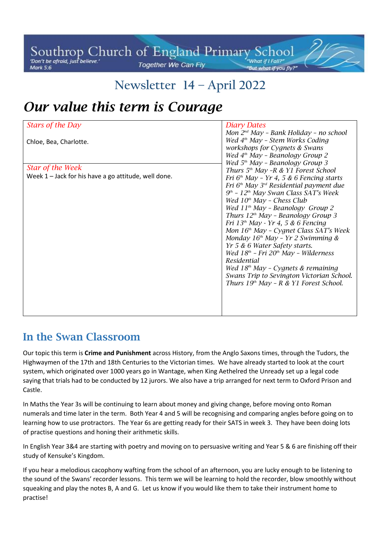#### Southrop Church of England Primary School Together We Can Fly **Mark 5:6**

# **Newsletter 14 – April 2022**

# *Our value this term is Courage*

#### **In the Swan Classroom**

Our topic this term is **Crime and Punishment** across History, from the Anglo Saxons times, through the Tudors, the Highwaymen of the 17th and 18th Centuries to the Victorian times. We have already started to look at the court system, which originated over 1000 years go in Wantage, when King Aethelred the Unready set up a legal code saying that trials had to be conducted by 12 jurors. We also have a trip arranged for next term to Oxford Prison and Castle.

In Maths the Year 3s will be continuing to learn about money and giving change, before moving onto Roman numerals and time later in the term. Both Year 4 and 5 will be recognising and comparing angles before going on to learning how to use protractors. The Year 6s are getting ready for their SATS in week 3. They have been doing lots of practise questions and honing their arithmetic skills.

In English Year 3&4 are starting with poetry and moving on to persuasive writing and Year 5 & 6 are finishing off their study of Kensuke's Kingdom.

If you hear a melodious cacophony wafting from the school of an afternoon, you are lucky enough to be listening to the sound of the Swans' recorder lessons. This term we will be learning to hold the recorder, blow smoothly without squeaking and play the notes B, A and G. Let us know if you would like them to take their instrument home to practise!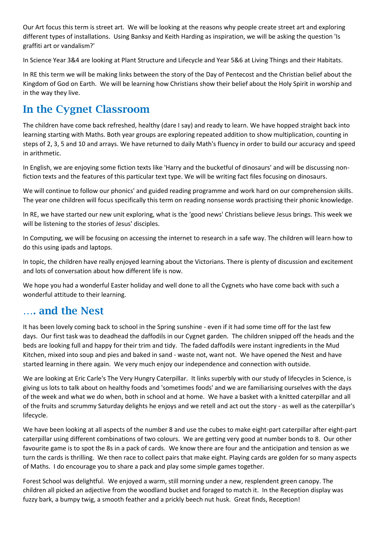Our Art focus this term is street art. We will be looking at the reasons why people create street art and exploring different types of installations. Using Banksy and Keith Harding as inspiration, we will be asking the question 'Is graffiti art or vandalism?'

In Science Year 3&4 are looking at Plant Structure and Lifecycle and Year 5&6 at Living Things and their Habitats.

In RE this term we will be making links between the story of the Day of Pentecost and the Christian belief about the Kingdom of God on Earth. We will be learning how Christians show their belief about the Holy Spirit in worship and in the way they live.

### **In the Cygnet Classroom**

The children have come back refreshed, healthy (dare I say) and ready to learn. We have hopped straight back into learning starting with Maths. Both year groups are exploring repeated addition to show multiplication, counting in steps of 2, 3, 5 and 10 and arrays. We have returned to daily Math's fluency in order to build our accuracy and speed in arithmetic.

In English, we are enjoying some fiction texts like 'Harry and the bucketful of dinosaurs' and will be discussing nonfiction texts and the features of this particular text type. We will be writing fact files focusing on dinosaurs.

We will continue to follow our phonics' and guided reading programme and work hard on our comprehension skills. The year one children will focus specifically this term on reading nonsense words practising their phonic knowledge.

In RE, we have started our new unit exploring, what is the 'good news' Christians believe Jesus brings. This week we will be listening to the stories of Jesus' disciples.

In Computing, we will be focusing on accessing the internet to research in a safe way. The children will learn how to do this using ipads and laptops.

In topic, the children have really enjoyed learning about the Victorians. There is plenty of discussion and excitement and lots of conversation about how different life is now.

We hope you had a wonderful Easter holiday and well done to all the Cygnets who have come back with such a wonderful attitude to their learning.

#### **…. and the Nest**

It has been lovely coming back to school in the Spring sunshine - even if it had some time off for the last few days. Our first task was to deadhead the daffodils in our Cygnet garden. The children snipped off the heads and the beds are looking full and happy for their trim and tidy. The faded daffodils were instant ingredients in the Mud Kitchen, mixed into soup and pies and baked in sand - waste not, want not. We have opened the Nest and have started learning in there again. We very much enjoy our independence and connection with outside.

We are looking at Eric Carle's The Very Hungry Caterpillar. It links superbly with our study of lifecycles in Science, is giving us lots to talk about on healthy foods and 'sometimes foods' and we are familiarising ourselves with the days of the week and what we do when, both in school and at home. We have a basket with a knitted caterpillar and all of the fruits and scrummy Saturday delights he enjoys and we retell and act out the story - as well as the caterpillar's lifecycle.

We have been looking at all aspects of the number 8 and use the cubes to make eight-part caterpillar after eight-part caterpillar using different combinations of two colours. We are getting very good at number bonds to 8. Our other favourite game is to spot the 8s in a pack of cards. We know there are four and the anticipation and tension as we turn the cards is thrilling. We then race to collect pairs that make eight. Playing cards are golden for so many aspects of Maths. I do encourage you to share a pack and play some simple games together.

Forest School was delightful. We enjoyed a warm, still morning under a new, resplendent green canopy. The children all picked an adjective from the woodland bucket and foraged to match it. In the Reception display was fuzzy bark, a bumpy twig, a smooth feather and a prickly beech nut husk. Great finds, Reception!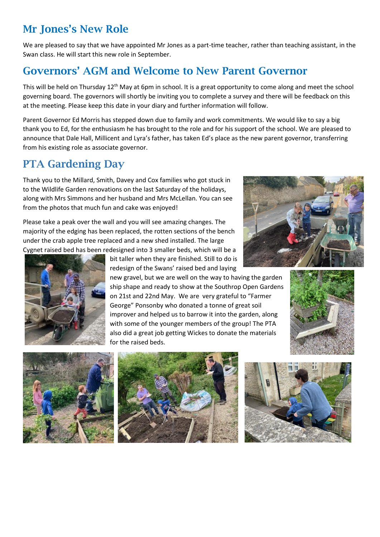### **Mr Jones's New Role**

We are pleased to say that we have appointed Mr Jones as a part-time teacher, rather than teaching assistant, in the Swan class. He will start this new role in September.

### **Governors' AGM and Welcome to New Parent Governor**

This will be held on Thursday 12<sup>th</sup> May at 6pm in school. It is a great opportunity to come along and meet the school governing board. The governors will shortly be inviting you to complete a survey and there will be feedback on this at the meeting. Please keep this date in your diary and further information will follow.

Parent Governor Ed Morris has stepped down due to family and work commitments. We would like to say a big thank you to Ed, for the enthusiasm he has brought to the role and for his support of the school. We are pleased to announce that Dale Hall, Millicent and Lyra's father, has taken Ed's place as the new parent governor, transferring from his existing role as associate governor.

#### **PTA Gardening Day**

Thank you to the Millard, Smith, Davey and Cox families who got stuck in to the Wildlife Garden renovations on the last Saturday of the holidays, along with Mrs Simmons and her husband and Mrs McLellan. You can see from the photos that much fun and cake was enjoyed!

Please take a peak over the wall and you will see amazing changes. The majority of the edging has been replaced, the rotten sections of the bench under the crab apple tree replaced and a new shed installed. The large Cygnet raised bed has been redesigned into 3 smaller beds, which will be a





bit taller when they are finished. Still to do is redesign of the Swans' raised bed and laying

new gravel, but we are well on the way to having the garden ship shape and ready to show at the Southrop Open Gardens on 21st and 22nd May. We are very grateful to "Farmer George" Ponsonby who donated a tonne of great soil improver and helped us to barrow it into the garden, along with some of the younger members of the group! The PTA also did a great job getting Wickes to donate the materials for the raised beds.







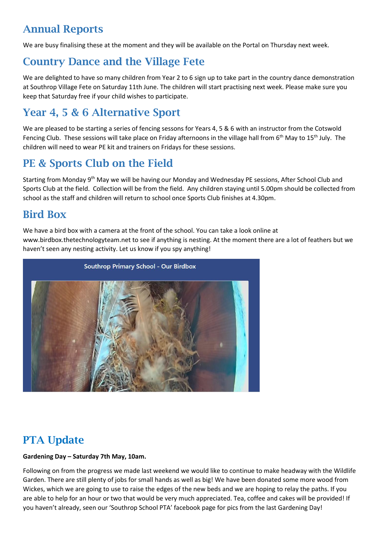## **Annual Reports**

We are busy finalising these at the moment and they will be available on the Portal on Thursday next week.

## **Country Dance and the Village Fete**

We are delighted to have so many children from Year 2 to 6 sign up to take part in the country dance demonstration at Southrop Village Fete on Saturday 11th June. The children will start practising next week. Please make sure you keep that Saturday free if your child wishes to participate.

## **Year 4, 5 & 6 Alternative Sport**

We are pleased to be starting a series of fencing sessons for Years 4, 5 & 6 with an instructor from the Cotswold Fencing Club. These sessions will take place on Friday afternoons in the village hall from 6<sup>th</sup> May to 15<sup>th</sup> July. The children will need to wear PE kit and trainers on Fridays for these sessions.

### **PE & Sports Club on the Field**

Starting from Monday 9<sup>th</sup> May we will be having our Monday and Wednesday PE sessions, After School Club and Sports Club at the field. Collection will be from the field. Any children staying until 5.00pm should be collected from school as the staff and children will return to school once Sports Club finishes at 4.30pm.

#### **Bird Box**

We have a bird box with a camera at the front of the school. You can take a look online at www.birdbox.thetechnologyteam.net to see if anything is nesting. At the moment there are a lot of feathers but we haven't seen any nesting activity. Let us know if you spy anything!



## **PTA Update**

#### **Gardening Day – Saturday 7th May, 10am.**

Following on from the progress we made last weekend we would like to continue to make headway with the Wildlife Garden. There are still plenty of jobs for small hands as well as big! We have been donated some more wood from Wickes, which we are going to use to raise the edges of the new beds and we are hoping to relay the paths. If you are able to help for an hour or two that would be very much appreciated. Tea, coffee and cakes will be provided! If you haven't already, seen our 'Southrop School PTA' facebook page for pics from the last Gardening Day!